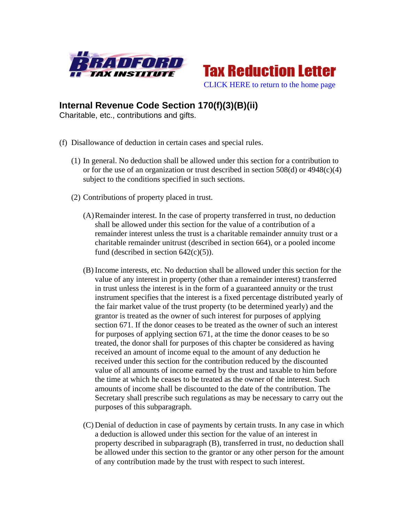



## **Internal Revenue Code Section 170(f)(3)(B)(ii)**

Charitable, etc., contributions and gifts.

- (f) Disallowance of deduction in certain cases and special rules.
	- (1) In general. No deduction shall be allowed under this section for a contribution to or for the use of an organization or trust described in section 508(d) or 4948(c)(4) subject to the conditions specified in such sections.
	- (2) Contributions of property placed in trust.
		- (A)Remainder interest. In the case of property transferred in trust, no deduction shall be allowed under this section for the value of a contribution of a remainder interest unless the trust is a charitable remainder annuity trust or a charitable remainder unitrust (described in section 664), or a pooled income fund (described in section  $642(c)(5)$ ).
		- (B) Income interests, etc. No deduction shall be allowed under this section for the value of any interest in property (other than a remainder interest) transferred in trust unless the interest is in the form of a guaranteed annuity or the trust instrument specifies that the interest is a fixed percentage distributed yearly of the fair market value of the trust property (to be determined yearly) and the grantor is treated as the owner of such interest for purposes of applying section 671. If the donor ceases to be treated as the owner of such an interest for purposes of applying section 671, at the time the donor ceases to be so treated, the donor shall for purposes of this chapter be considered as having received an amount of income equal to the amount of any deduction he received under this section for the contribution reduced by the discounted value of all amounts of income earned by the trust and taxable to him before the time at which he ceases to be treated as the owner of the interest. Such amounts of income shall be discounted to the date of the contribution. The Secretary shall prescribe such regulations as may be necessary to carry out the purposes of this subparagraph.
		- (C) Denial of deduction in case of payments by certain trusts. In any case in which a deduction is allowed under this section for the value of an interest in property described in subparagraph (B), transferred in trust, no deduction shall be allowed under this section to the grantor or any other person for the amount of any contribution made by the trust with respect to such interest.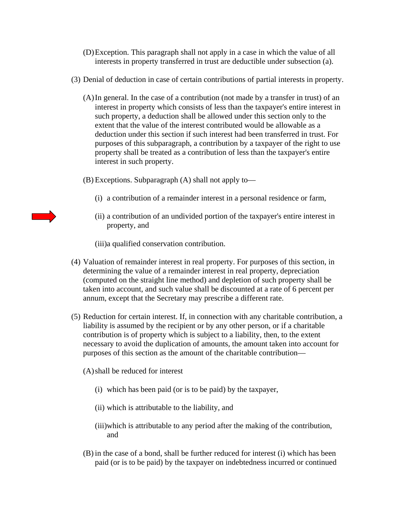- (D)Exception. This paragraph shall not apply in a case in which the value of all interests in property transferred in trust are deductible under subsection (a).
- (3) Denial of deduction in case of certain contributions of partial interests in property.
	- (A)In general. In the case of a contribution (not made by a transfer in trust) of an interest in property which consists of less than the taxpayer's entire interest in such property, a deduction shall be allowed under this section only to the extent that the value of the interest contributed would be allowable as a deduction under this section if such interest had been transferred in trust. For purposes of this subparagraph, a contribution by a taxpayer of the right to use property shall be treated as a contribution of less than the taxpayer's entire interest in such property.
	- (B) Exceptions. Subparagraph (A) shall not apply to—
		- (i) a contribution of a remainder interest in a personal residence or farm,
		- (ii) a contribution of an undivided portion of the taxpayer's entire interest in property, and

(iii)a qualified conservation contribution.

- (4) Valuation of remainder interest in real property. For purposes of this section, in determining the value of a remainder interest in real property, depreciation (computed on the straight line method) and depletion of such property shall be taken into account, and such value shall be discounted at a rate of 6 percent per annum, except that the Secretary may prescribe a different rate.
- (5) Reduction for certain interest. If, in connection with any charitable contribution, a liability is assumed by the recipient or by any other person, or if a charitable contribution is of property which is subject to a liability, then, to the extent necessary to avoid the duplication of amounts, the amount taken into account for purposes of this section as the amount of the charitable contribution—
	- (A)shall be reduced for interest
		- (i) which has been paid (or is to be paid) by the taxpayer,
		- (ii) which is attributable to the liability, and
		- (iii)which is attributable to any period after the making of the contribution, and
	- (B) in the case of a bond, shall be further reduced for interest (i) which has been paid (or is to be paid) by the taxpayer on indebtedness incurred or continued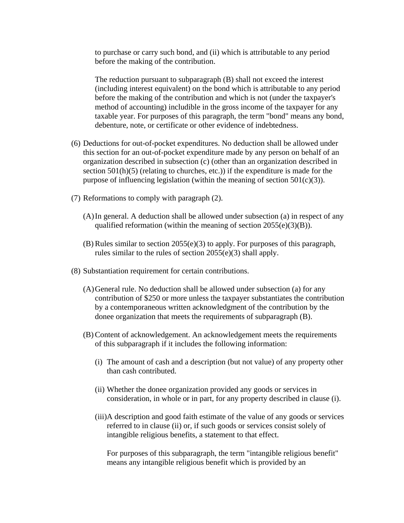to purchase or carry such bond, and (ii) which is attributable to any period before the making of the contribution.

The reduction pursuant to subparagraph (B) shall not exceed the interest (including interest equivalent) on the bond which is attributable to any period before the making of the contribution and which is not (under the taxpayer's method of accounting) includible in the gross income of the taxpayer for any taxable year. For purposes of this paragraph, the term "bond" means any bond, debenture, note, or certificate or other evidence of indebtedness.

- (6) Deductions for out-of-pocket expenditures. No deduction shall be allowed under this section for an out-of-pocket expenditure made by any person on behalf of an organization described in subsection (c) (other than an organization described in section  $501(h)(5)$  (relating to churches, etc.)) if the expenditure is made for the purpose of influencing legislation (within the meaning of section  $501(c)(3)$ ).
- (7) Reformations to comply with paragraph (2).
	- (A)In general. A deduction shall be allowed under subsection (a) in respect of any qualified reformation (within the meaning of section  $2055(e)(3)(B)$ ).
	- (B) Rules similar to section 2055(e)(3) to apply. For purposes of this paragraph, rules similar to the rules of section 2055(e)(3) shall apply.
- (8) Substantiation requirement for certain contributions.
	- (A)General rule. No deduction shall be allowed under subsection (a) for any contribution of \$250 or more unless the taxpayer substantiates the contribution by a contemporaneous written acknowledgment of the contribution by the donee organization that meets the requirements of subparagraph (B).
	- (B) Content of acknowledgement. An acknowledgement meets the requirements of this subparagraph if it includes the following information:
		- (i) The amount of cash and a description (but not value) of any property other than cash contributed.
		- (ii) Whether the donee organization provided any goods or services in consideration, in whole or in part, for any property described in clause (i).
		- (iii)A description and good faith estimate of the value of any goods or services referred to in clause (ii) or, if such goods or services consist solely of intangible religious benefits, a statement to that effect.

For purposes of this subparagraph, the term "intangible religious benefit" means any intangible religious benefit which is provided by an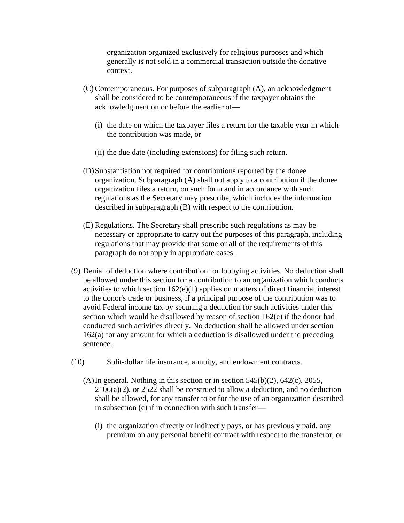organization organized exclusively for religious purposes and which generally is not sold in a commercial transaction outside the donative context.

- (C) Contemporaneous. For purposes of subparagraph (A), an acknowledgment shall be considered to be contemporaneous if the taxpayer obtains the acknowledgment on or before the earlier of—
	- (i) the date on which the taxpayer files a return for the taxable year in which the contribution was made, or
	- (ii) the due date (including extensions) for filing such return.
- (D)Substantiation not required for contributions reported by the donee organization. Subparagraph (A) shall not apply to a contribution if the donee organization files a return, on such form and in accordance with such regulations as the Secretary may prescribe, which includes the information described in subparagraph (B) with respect to the contribution.
- (E) Regulations. The Secretary shall prescribe such regulations as may be necessary or appropriate to carry out the purposes of this paragraph, including regulations that may provide that some or all of the requirements of this paragraph do not apply in appropriate cases.
- (9) Denial of deduction where contribution for lobbying activities. No deduction shall be allowed under this section for a contribution to an organization which conducts activities to which section 162(e)(1) applies on matters of direct financial interest to the donor's trade or business, if a principal purpose of the contribution was to avoid Federal income tax by securing a deduction for such activities under this section which would be disallowed by reason of section 162(e) if the donor had conducted such activities directly. No deduction shall be allowed under section 162(a) for any amount for which a deduction is disallowed under the preceding sentence.
- (10) Split-dollar life insurance, annuity, and endowment contracts.
	- (A) In general. Nothing in this section or in section  $545(b)(2)$ ,  $642(c)$ ,  $2055$ , 2106(a)(2), or 2522 shall be construed to allow a deduction, and no deduction shall be allowed, for any transfer to or for the use of an organization described in subsection (c) if in connection with such transfer—
		- (i) the organization directly or indirectly pays, or has previously paid, any premium on any personal benefit contract with respect to the transferor, or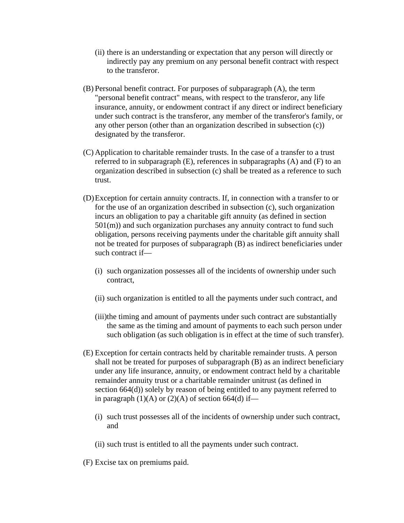- (ii) there is an understanding or expectation that any person will directly or indirectly pay any premium on any personal benefit contract with respect to the transferor.
- (B) Personal benefit contract. For purposes of subparagraph (A), the term "personal benefit contract" means, with respect to the transferor, any life insurance, annuity, or endowment contract if any direct or indirect beneficiary under such contract is the transferor, any member of the transferor's family, or any other person (other than an organization described in subsection (c)) designated by the transferor.
- (C) Application to charitable remainder trusts. In the case of a transfer to a trust referred to in subparagraph (E), references in subparagraphs (A) and (F) to an organization described in subsection (c) shall be treated as a reference to such trust.
- (D)Exception for certain annuity contracts. If, in connection with a transfer to or for the use of an organization described in subsection (c), such organization incurs an obligation to pay a charitable gift annuity (as defined in section 501(m)) and such organization purchases any annuity contract to fund such obligation, persons receiving payments under the charitable gift annuity shall not be treated for purposes of subparagraph (B) as indirect beneficiaries under such contract if—
	- (i) such organization possesses all of the incidents of ownership under such contract,
	- (ii) such organization is entitled to all the payments under such contract, and
	- (iii)the timing and amount of payments under such contract are substantially the same as the timing and amount of payments to each such person under such obligation (as such obligation is in effect at the time of such transfer).
- (E) Exception for certain contracts held by charitable remainder trusts. A person shall not be treated for purposes of subparagraph (B) as an indirect beneficiary under any life insurance, annuity, or endowment contract held by a charitable remainder annuity trust or a charitable remainder unitrust (as defined in section 664(d)) solely by reason of being entitled to any payment referred to in paragraph  $(1)(A)$  or  $(2)(A)$  of section 664(d) if—
	- (i) such trust possesses all of the incidents of ownership under such contract, and
	- (ii) such trust is entitled to all the payments under such contract.
- (F) Excise tax on premiums paid.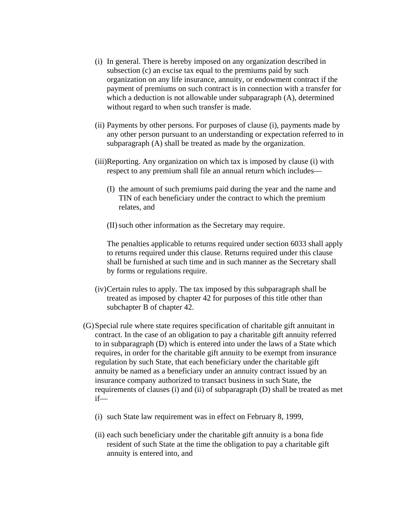- (i) In general. There is hereby imposed on any organization described in subsection (c) an excise tax equal to the premiums paid by such organization on any life insurance, annuity, or endowment contract if the payment of premiums on such contract is in connection with a transfer for which a deduction is not allowable under subparagraph (A), determined without regard to when such transfer is made.
- (ii) Payments by other persons. For purposes of clause (i), payments made by any other person pursuant to an understanding or expectation referred to in subparagraph (A) shall be treated as made by the organization.
- (iii)Reporting. Any organization on which tax is imposed by clause (i) with respect to any premium shall file an annual return which includes—
	- (I) the amount of such premiums paid during the year and the name and TIN of each beneficiary under the contract to which the premium relates, and
	- (II)such other information as the Secretary may require.

The penalties applicable to returns required under section 6033 shall apply to returns required under this clause. Returns required under this clause shall be furnished at such time and in such manner as the Secretary shall by forms or regulations require.

- (iv)Certain rules to apply. The tax imposed by this subparagraph shall be treated as imposed by chapter 42 for purposes of this title other than subchapter B of chapter 42.
- (G)Special rule where state requires specification of charitable gift annuitant in contract. In the case of an obligation to pay a charitable gift annuity referred to in subparagraph (D) which is entered into under the laws of a State which requires, in order for the charitable gift annuity to be exempt from insurance regulation by such State, that each beneficiary under the charitable gift annuity be named as a beneficiary under an annuity contract issued by an insurance company authorized to transact business in such State, the requirements of clauses (i) and (ii) of subparagraph (D) shall be treated as met if—
	- (i) such State law requirement was in effect on February 8, 1999,
	- (ii) each such beneficiary under the charitable gift annuity is a bona fide resident of such State at the time the obligation to pay a charitable gift annuity is entered into, and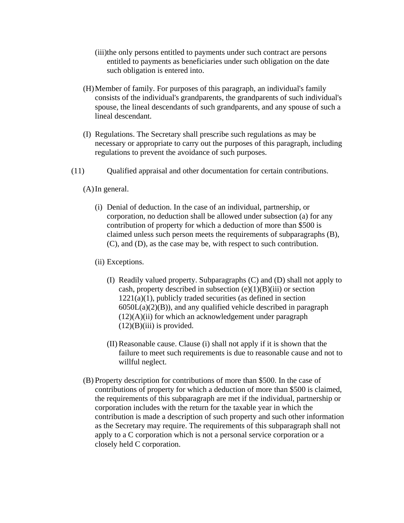- (iii)the only persons entitled to payments under such contract are persons entitled to payments as beneficiaries under such obligation on the date such obligation is entered into.
- (H)Member of family. For purposes of this paragraph, an individual's family consists of the individual's grandparents, the grandparents of such individual's spouse, the lineal descendants of such grandparents, and any spouse of such a lineal descendant.
- (I) Regulations. The Secretary shall prescribe such regulations as may be necessary or appropriate to carry out the purposes of this paragraph, including regulations to prevent the avoidance of such purposes.
- (11) Qualified appraisal and other documentation for certain contributions.

(A)In general.

- (i) Denial of deduction. In the case of an individual, partnership, or corporation, no deduction shall be allowed under subsection (a) for any contribution of property for which a deduction of more than \$500 is claimed unless such person meets the requirements of subparagraphs (B), (C), and (D), as the case may be, with respect to such contribution.
- (ii) Exceptions.
	- (I) Readily valued property. Subparagraphs (C) and (D) shall not apply to cash, property described in subsection  $(e)(1)(B)(iii)$  or section  $1221(a)(1)$ , publicly traded securities (as defined in section  $6050L(a)(2)(B)$ , and any qualified vehicle described in paragraph  $(12)(A)(ii)$  for which an acknowledgement under paragraph  $(12)(B)(iii)$  is provided.
	- (II) Reasonable cause. Clause (i) shall not apply if it is shown that the failure to meet such requirements is due to reasonable cause and not to willful neglect.
- (B) Property description for contributions of more than \$500. In the case of contributions of property for which a deduction of more than \$500 is claimed, the requirements of this subparagraph are met if the individual, partnership or corporation includes with the return for the taxable year in which the contribution is made a description of such property and such other information as the Secretary may require. The requirements of this subparagraph shall not apply to a C corporation which is not a personal service corporation or a closely held C corporation.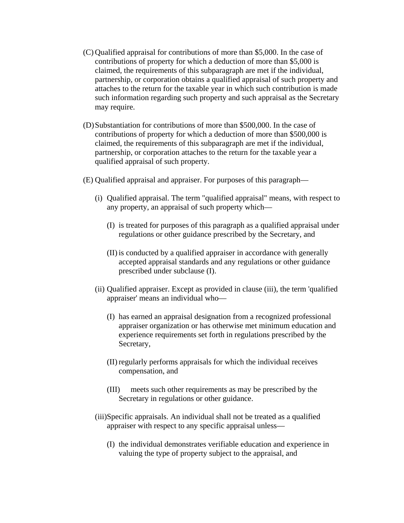- (C) Qualified appraisal for contributions of more than \$5,000. In the case of contributions of property for which a deduction of more than \$5,000 is claimed, the requirements of this subparagraph are met if the individual, partnership, or corporation obtains a qualified appraisal of such property and attaches to the return for the taxable year in which such contribution is made such information regarding such property and such appraisal as the Secretary may require.
- (D)Substantiation for contributions of more than \$500,000. In the case of contributions of property for which a deduction of more than \$500,000 is claimed, the requirements of this subparagraph are met if the individual, partnership, or corporation attaches to the return for the taxable year a qualified appraisal of such property.
- (E) Qualified appraisal and appraiser. For purposes of this paragraph—
	- (i) Qualified appraisal. The term "qualified appraisal" means, with respect to any property, an appraisal of such property which—
		- (I) is treated for purposes of this paragraph as a qualified appraisal under regulations or other guidance prescribed by the Secretary, and
		- (II) is conducted by a qualified appraiser in accordance with generally accepted appraisal standards and any regulations or other guidance prescribed under subclause (I).
	- (ii) Qualified appraiser. Except as provided in clause (iii), the term 'qualified appraiser' means an individual who—
		- (I) has earned an appraisal designation from a recognized professional appraiser organization or has otherwise met minimum education and experience requirements set forth in regulations prescribed by the Secretary,
		- (II) regularly performs appraisals for which the individual receives compensation, and
		- (III) meets such other requirements as may be prescribed by the Secretary in regulations or other guidance.
	- (iii)Specific appraisals. An individual shall not be treated as a qualified appraiser with respect to any specific appraisal unless—
		- (I) the individual demonstrates verifiable education and experience in valuing the type of property subject to the appraisal, and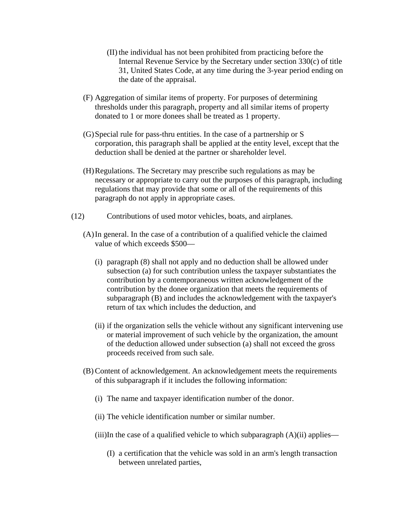- (II) the individual has not been prohibited from practicing before the Internal Revenue Service by the Secretary under section 330(c) of title 31, United States Code, at any time during the 3-year period ending on the date of the appraisal.
- (F) Aggregation of similar items of property. For purposes of determining thresholds under this paragraph, property and all similar items of property donated to 1 or more donees shall be treated as 1 property.
- (G)Special rule for pass-thru entities. In the case of a partnership or S corporation, this paragraph shall be applied at the entity level, except that the deduction shall be denied at the partner or shareholder level.
- (H)Regulations. The Secretary may prescribe such regulations as may be necessary or appropriate to carry out the purposes of this paragraph, including regulations that may provide that some or all of the requirements of this paragraph do not apply in appropriate cases.
- (12) Contributions of used motor vehicles, boats, and airplanes.
	- (A)In general. In the case of a contribution of a qualified vehicle the claimed value of which exceeds \$500—
		- (i) paragraph (8) shall not apply and no deduction shall be allowed under subsection (a) for such contribution unless the taxpayer substantiates the contribution by a contemporaneous written acknowledgement of the contribution by the donee organization that meets the requirements of subparagraph (B) and includes the acknowledgement with the taxpayer's return of tax which includes the deduction, and
		- (ii) if the organization sells the vehicle without any significant intervening use or material improvement of such vehicle by the organization, the amount of the deduction allowed under subsection (a) shall not exceed the gross proceeds received from such sale.
	- (B) Content of acknowledgement. An acknowledgement meets the requirements of this subparagraph if it includes the following information:
		- (i) The name and taxpayer identification number of the donor.
		- (ii) The vehicle identification number or similar number.

 $(iii)$ In the case of a qualified vehicle to which subparagraph  $(A)(ii)$  applies—

(I) a certification that the vehicle was sold in an arm's length transaction between unrelated parties,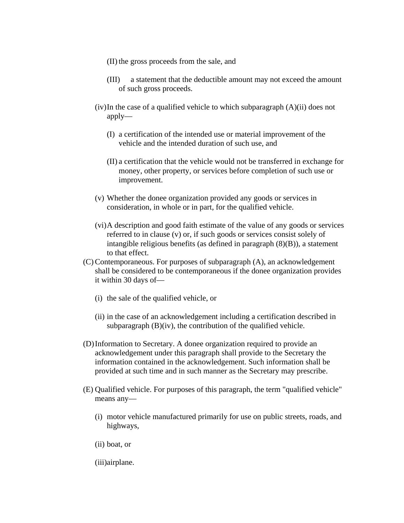- (II) the gross proceeds from the sale, and
- (III) a statement that the deductible amount may not exceed the amount of such gross proceeds.
- (iv)In the case of a qualified vehicle to which subparagraph (A)(ii) does not apply—
	- (I) a certification of the intended use or material improvement of the vehicle and the intended duration of such use, and
	- (II) a certification that the vehicle would not be transferred in exchange for money, other property, or services before completion of such use or improvement.
- (v) Whether the donee organization provided any goods or services in consideration, in whole or in part, for the qualified vehicle.
- (vi)A description and good faith estimate of the value of any goods or services referred to in clause (v) or, if such goods or services consist solely of intangible religious benefits (as defined in paragraph (8)(B)), a statement to that effect.
- (C) Contemporaneous. For purposes of subparagraph (A), an acknowledgement shall be considered to be contemporaneous if the donee organization provides it within 30 days of—
	- (i) the sale of the qualified vehicle, or
	- (ii) in the case of an acknowledgement including a certification described in subparagraph  $(B)(iv)$ , the contribution of the qualified vehicle.
- (D)Information to Secretary. A donee organization required to provide an acknowledgement under this paragraph shall provide to the Secretary the information contained in the acknowledgement. Such information shall be provided at such time and in such manner as the Secretary may prescribe.
- (E) Qualified vehicle. For purposes of this paragraph, the term "qualified vehicle" means any—
	- (i) motor vehicle manufactured primarily for use on public streets, roads, and highways,
	- (ii) boat, or
	- (iii)airplane.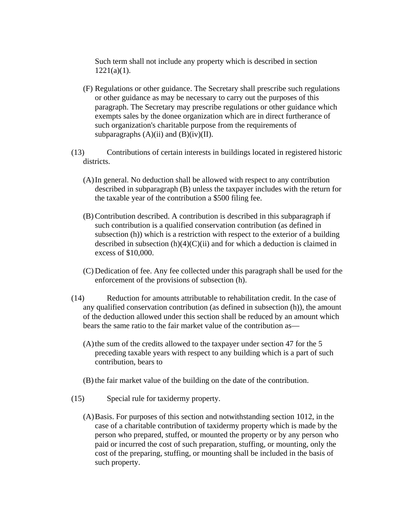Such term shall not include any property which is described in section  $1221(a)(1)$ .

- (F) Regulations or other guidance. The Secretary shall prescribe such regulations or other guidance as may be necessary to carry out the purposes of this paragraph. The Secretary may prescribe regulations or other guidance which exempts sales by the donee organization which are in direct furtherance of such organization's charitable purpose from the requirements of subparagraphs  $(A)(ii)$  and  $(B)(iv)(II)$ .
- (13) Contributions of certain interests in buildings located in registered historic districts.
	- (A)In general. No deduction shall be allowed with respect to any contribution described in subparagraph (B) unless the taxpayer includes with the return for the taxable year of the contribution a \$500 filing fee.
	- (B) Contribution described. A contribution is described in this subparagraph if such contribution is a qualified conservation contribution (as defined in subsection (h)) which is a restriction with respect to the exterior of a building described in subsection  $(h)(4)(C)(ii)$  and for which a deduction is claimed in excess of \$10,000.
	- (C) Dedication of fee. Any fee collected under this paragraph shall be used for the enforcement of the provisions of subsection (h).
- (14) Reduction for amounts attributable to rehabilitation credit. In the case of any qualified conservation contribution (as defined in subsection (h)), the amount of the deduction allowed under this section shall be reduced by an amount which bears the same ratio to the fair market value of the contribution as—
	- (A)the sum of the credits allowed to the taxpayer under section 47 for the 5 preceding taxable years with respect to any building which is a part of such contribution, bears to
	- (B) the fair market value of the building on the date of the contribution.
- (15) Special rule for taxidermy property.
	- (A)Basis. For purposes of this section and notwithstanding section 1012, in the case of a charitable contribution of taxidermy property which is made by the person who prepared, stuffed, or mounted the property or by any person who paid or incurred the cost of such preparation, stuffing, or mounting, only the cost of the preparing, stuffing, or mounting shall be included in the basis of such property.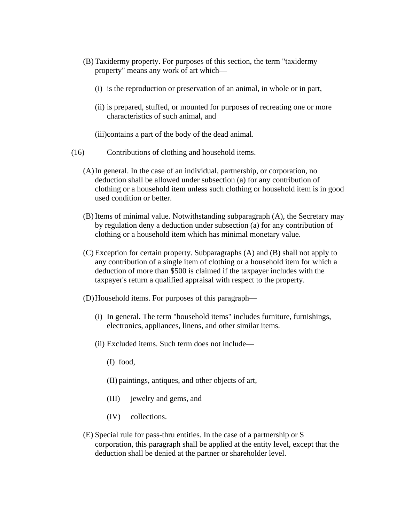- (B) Taxidermy property. For purposes of this section, the term "taxidermy property" means any work of art which—
	- (i) is the reproduction or preservation of an animal, in whole or in part,
	- (ii) is prepared, stuffed, or mounted for purposes of recreating one or more characteristics of such animal, and
	- (iii)contains a part of the body of the dead animal.
- (16) Contributions of clothing and household items.
	- (A)In general. In the case of an individual, partnership, or corporation, no deduction shall be allowed under subsection (a) for any contribution of clothing or a household item unless such clothing or household item is in good used condition or better.
	- (B) Items of minimal value. Notwithstanding subparagraph (A), the Secretary may by regulation deny a deduction under subsection (a) for any contribution of clothing or a household item which has minimal monetary value.
	- (C) Exception for certain property. Subparagraphs (A) and (B) shall not apply to any contribution of a single item of clothing or a household item for which a deduction of more than \$500 is claimed if the taxpayer includes with the taxpayer's return a qualified appraisal with respect to the property.
	- (D)Household items. For purposes of this paragraph—
		- (i) In general. The term "household items" includes furniture, furnishings, electronics, appliances, linens, and other similar items.
		- (ii) Excluded items. Such term does not include—
			- (I) food,
			- (II) paintings, antiques, and other objects of art,
			- (III) jewelry and gems, and
			- (IV) collections.
	- (E) Special rule for pass-thru entities. In the case of a partnership or S corporation, this paragraph shall be applied at the entity level, except that the deduction shall be denied at the partner or shareholder level.